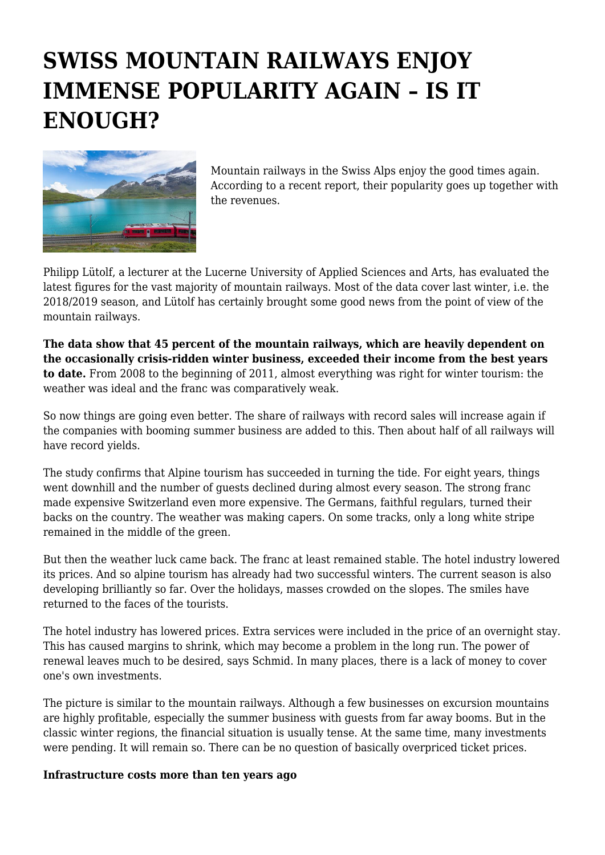## **SWISS MOUNTAIN RAILWAYS ENJOY IMMENSE POPULARITY AGAIN – IS IT ENOUGH?**



Mountain railways in the Swiss Alps enjoy the good times again. According to a recent report, their popularity goes up together with the revenues.

Philipp Lütolf, a lecturer at the Lucerne University of Applied Sciences and Arts, has evaluated the latest figures for the vast majority of mountain railways. Most of the data cover last winter, i.e. the 2018/2019 season, and Lütolf has certainly brought some good news from the point of view of the mountain railways.

**The data show that 45 percent of the mountain railways, which are heavily dependent on the occasionally crisis-ridden winter business, exceeded their income from the best years to date.** From 2008 to the beginning of 2011, almost everything was right for winter tourism: the weather was ideal and the franc was comparatively weak.

So now things are going even better. The share of railways with record sales will increase again if the companies with booming summer business are added to this. Then about half of all railways will have record yields.

The study confirms that Alpine tourism has succeeded in turning the tide. For eight years, things went downhill and the number of guests declined during almost every season. The strong franc made expensive Switzerland even more expensive. The Germans, faithful regulars, turned their backs on the country. The weather was making capers. On some tracks, only a long white stripe remained in the middle of the green.

But then the weather luck came back. The franc at least remained stable. The hotel industry lowered its prices. And so alpine tourism has already had two successful winters. The current season is also developing brilliantly so far. Over the holidays, masses crowded on the slopes. The smiles have returned to the faces of the tourists.

The hotel industry has lowered prices. Extra services were included in the price of an overnight stay. This has caused margins to shrink, which may become a problem in the long run. The power of renewal leaves much to be desired, says Schmid. In many places, there is a lack of money to cover one's own investments.

The picture is similar to the mountain railways. Although a few businesses on excursion mountains are highly profitable, especially the summer business with guests from far away booms. But in the classic winter regions, the financial situation is usually tense. At the same time, many investments were pending. It will remain so. There can be no question of basically overpriced ticket prices.

## **Infrastructure costs more than ten years ago**